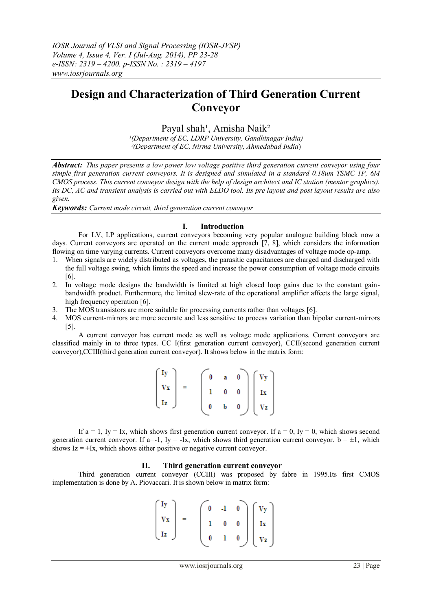# **Design and Characterization of Third Generation Current Conveyor**

Payal shah<sup>1</sup>, Amisha Naik<sup>2</sup>

*¹(Department of EC, LDRP University, Gandhinagar India) ²(Department of EC, Nirma University, Ahmedabad India*)

*Abstract: This paper presents a low power low voltage positive third generation current conveyor using four simple first generation current conveyors. It is designed and simulated in a standard 0.18um TSMC 1P, 6M CMOS process. This current conveyor design with the help of design architect and IC station (mentor graphics). Its DC, AC and transient analysis is carried out with ELDO tool. Its pre layout and post layout results are also given.*

*Keywords: Current mode circuit, third generation current conveyor*

## **I. Introduction**

For LV, LP applications, current conveyors becoming very popular analogue building block now a days. Current conveyors are operated on the current mode approach [7, 8], which considers the information flowing on time varying currents. Current conveyors overcome many disadvantages of voltage mode op-amp.

- 1. When signals are widely distributed as voltages, the parasitic capacitances are charged and discharged with the full voltage swing, which limits the speed and increase the power consumption of voltage mode circuits [6].
- 2. In voltage mode designs the bandwidth is limited at high closed loop gains due to the constant gainbandwidth product. Furthermore, the limited slew-rate of the operational amplifier affects the large signal, high frequency operation [6].
- 3. The MOS transistors are more suitable for processing currents rather than voltages [6].
- 4. MOS current-mirrors are more accurate and less sensitive to process variation than bipolar current-mirrors [5].

A current conveyor has current mode as well as voltage mode applications. Current conveyors are classified mainly in to three types. CC I(first generation current conveyor), CCII(second generation current conveyor),CCIII(third generation current conveyor). It shows below in the matrix form:

| $\int$ Iy                                | $\pmb{0}$ |                         |                                                                                                                                                                                                                                        |
|------------------------------------------|-----------|-------------------------|----------------------------------------------------------------------------------------------------------------------------------------------------------------------------------------------------------------------------------------|
| $\mathbf{v}$                             |           | $\mathbf{0}=\mathbf{0}$ |                                                                                                                                                                                                                                        |
| $\left\lfloor \frac{1}{2} \right\rfloor$ |           |                         | $\begin{array}{cc} {\bf a} & {\bf 0} \\ {\bf 0} & {\bf 0} \\ {\bf b} & {\bf 0} \end{array} \begin{array}{c} \vspace{0.2cm} \left.\begin{array}{c} V{\bf y} \\ \vspace{0.2cm} \Gamma{\bf x} \\ V{\bf z} \end{array}\right. \end{array}$ |

If  $a = 1$ , Iy = Ix, which shows first generation current conveyor. If  $a = 0$ , Iy = 0, which shows second generation current conveyor. If  $a=-1$ , Iy = -Ix, which shows third generation current conveyor.  $b = \pm 1$ , which shows  $Iz = \pm Ix$ , which shows either positive or negative current conveyor.

## **II. Third generation current conveyor**

Third generation current conveyor (CCIII) was proposed by fabre in 1995.Its first CMOS implementation is done by A. Piovaccari. It is shown below in matrix form:

$$
\begin{pmatrix}Iy\\Vx\\Iz\end{pmatrix} = \begin{pmatrix}0&-1&0\\1&0&0\\0&1&0\end{pmatrix}\begin{pmatrix}Vy\\Ix\\Vz\end{pmatrix}
$$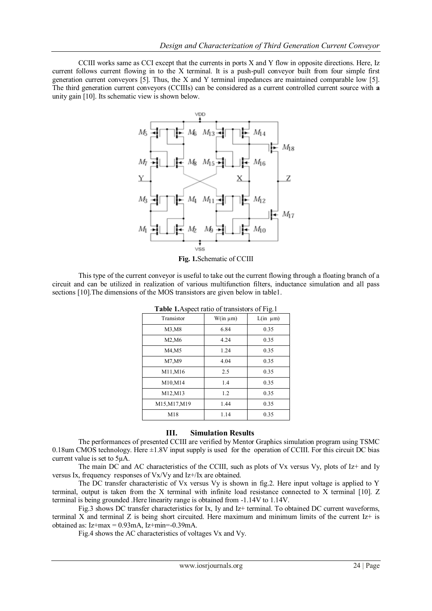CCIII works same as CCI except that the currents in ports X and Y flow in opposite directions. Here, Iz current follows current flowing in to the X terminal. It is a push-pull conveyor built from four simple first generation current conveyors [5]. Thus, the X and Y terminal impedances are maintained comparable low [5]. The third generation current conveyors (CCIIIs) can be considered as a current controlled current source with **a**  unity gain [10]. Its schematic view is shown below.



**Fig. 1.**Schematic of CCIII

This type of the current conveyor is useful to take out the current flowing through a floating branch of a circuit and can be utilized in realization of various multifunction filters, inductance simulation and all pass sections [10].The dimensions of the MOS transistors are given below in table1.

| <b>Table 1.</b> Aspect fatto of transistors of Fig. 1 |               |               |  |  |  |
|-------------------------------------------------------|---------------|---------------|--|--|--|
| Transistor                                            | $W(in \mu m)$ | $L(in \mu m)$ |  |  |  |
| M3, M8                                                | 6.84          | 0.35          |  |  |  |
| M2,M6                                                 | 4.24          | 0.35          |  |  |  |
| M4,M5                                                 | 1.24          | 0.35          |  |  |  |
| M7,M9                                                 | 4.04          | 0.35          |  |  |  |
| M11, M16                                              | 2.5           | 0.35          |  |  |  |
| M10,M14                                               | 1.4           | 0.35          |  |  |  |
| M12, M13                                              | 1.2           | 0.35          |  |  |  |
| M15, M17, M19                                         | 1.44          | 0.35          |  |  |  |
| M18                                                   | 1.14          | 0.35          |  |  |  |

**Table 1.**Aspect ratio of transistors of Fig.1

## **III. Simulation Results**

The performances of presented CCIII are verified by Mentor Graphics simulation program using TSMC 0.18um CMOS technology. Here  $\pm 1.8V$  input supply is used for the operation of CCIII. For this circuit DC bias current value is set to 5µA.

The main DC and AC characteristics of the CCIII, such as plots of Vx versus Vy, plots of  $Iz+$  and Iy versus Ix, frequency responses of Vx/Vy and Iz+/Ix are obtained.

The DC transfer characteristic of Vx versus Vy is shown in fig.2. Here input voltage is applied to Y terminal, output is taken from the X terminal with infinite load resistance connected to X terminal [10]. Z terminal is being grounded .Here linearity range is obtained from -1.14V to 1.14V.

Fig.3 shows DC transfer characteristics for Ix, Iy and Iz+ terminal. To obtained DC current waveforms, terminal X and terminal Z is being short circuited. Here maximum and minimum limits of the current Iz+ is obtained as:  $Iz+max = 0.93mA$ ,  $Iz+min=-0.39mA$ .

Fig.4 shows the AC characteristics of voltages Vx and Vy.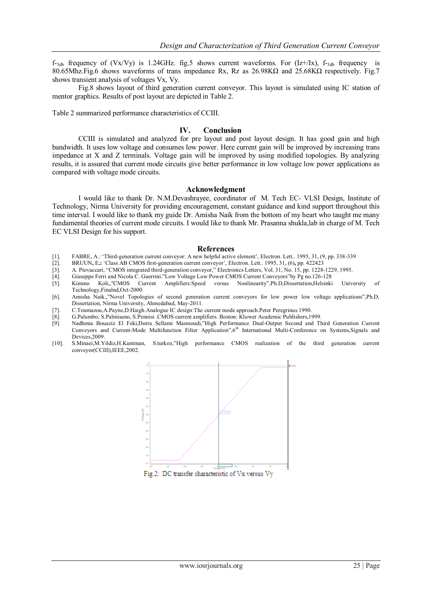$f_{-3d}$  frequency of (Vx/Vy) is 1.24GHz. fig.5 shows current waveforms. For (Iz+/Ix),  $f_{-3d}$  frequency is 80.65Mhz.Fig.6 shows waveforms of trans impedance Rx, Rz as 26.98KΩ and 25.68KΩ respectively. Fig.7 shows transient analysis of voltages Vx, Vy.

Fig.8 shows layout of third generation current conveyor. This layout is simulated using IC station of mentor graphics. Results of post layout are depicted in Table 2.

Table 2 summarized performance characteristics of CCIII.

## **IV. Conclusion**

CCIII is simulated and analyzed for pre layout and post layout design. It has good gain and high bandwidth. It uses low voltage and consumes low power. Here current gain will be improved by increasing trans impedance at X and Z terminals. Voltage gain will be improved by using modified topologies. By analyzing results, it is assured that current mode circuits give better performance in low voltage low power applications as compared with voltage mode circuits.

## **Acknowledgment**

I would like to thank Dr. N.M.Devashrayee, coordinator of M. Tech EC- VLSI Design, Institute of Technology, Nirma University for providing encouragement, constant guidance and kind support throughout this time interval. I would like to thank my guide Dr. Amisha Naik from the bottom of my heart who taught me many fundamental theories of current mode circuits. I would like to thank Mr. Prasanna shukla,lab in charge of M. Tech EC VLSI Design for his support.

#### **References**

- [1]. FABRE, A.: 'Third-generation current conveyor: A new helpful active element', Electron. Lett.. 1995, 31, (9, pp. 338-339 [2]. BRUUN, E.: 'Class AB CMOS first-generation current conveyor'. Electron. Lett.. 1995, 31, (6
- [2]. BRUUN**,** E**.:** "Class AB CMOS first-generation current conveyor", Electron. Lett.. 1995, 31, (6)**,** pp. 422423
- [3]. A. Piovaccari, "CMOS integrated third-generation conveyor," Electronics Letters, Vol. 31, No. 15, pp. 1228-1229, 1995.
- [4]. Giuseppe Ferri and Nicola C. Guerrini."Low Voltage Low Power CMOS Current Conveyors"by Pg no.126-128
- [5]. Kimmo Koli,,''CMOS Current Amplifiers:Speed versus Nonlinearity",Ph.D,Dissertation,Helsinki University of Technology,Finalnd,Oct-2000.
- [6]. Amisha Naik.,"Novel Topologies of second generation current conveyors for low power low voltage applications",Ph.D, Dissertation, Nirma University, Ahmedabad, May-2011.
- [7]. C.Toumazou,A.Payne,D.Haigh.Analogue IC design:The current mode approach.Peter Peregrinus 1990.
- [8]. G.Palumbo, S.Palmisano, S.Pennisi .CMOS current amplifiers. Boston: Kluwer Academic Publishers,1999.
- [9]. Nadhmia Bouaziz El Feki,Dorra Sellami Masmoudi,"High Performance Dual-Output Second and Third Generation Current Conveyors and Current-Mode Multifunction Filter Application",6<sup>th</sup> International Multi-Conference on Systems, Signals and Devices,2009.
- [10]. S.Minaei,M.Yildiz,H.Kuntman, S.turkoz,"High performance CMOS realization of the third generation current conveyor(CCIII),IEEE,2002.

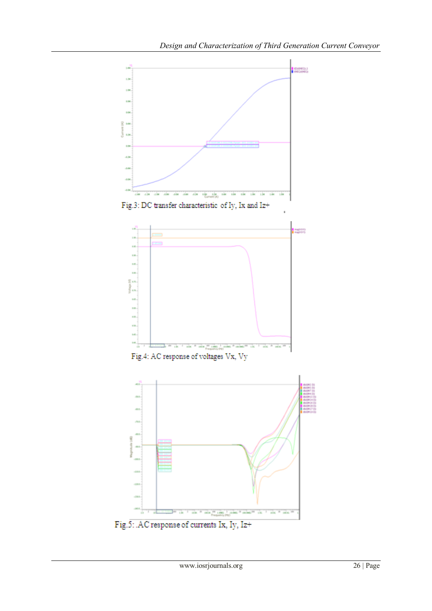





Fig.4: AC response of voltages Vx, Vy



 ${\rm Fig. 5:}$  .<br>AC response of currents Ix, Iy, Iz+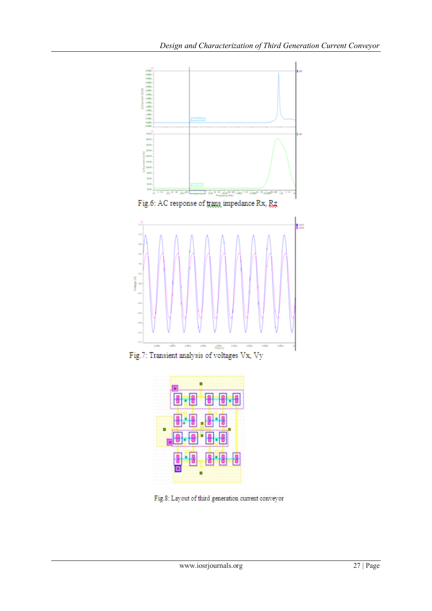

Fig.8: Layout of third generation current conveyor